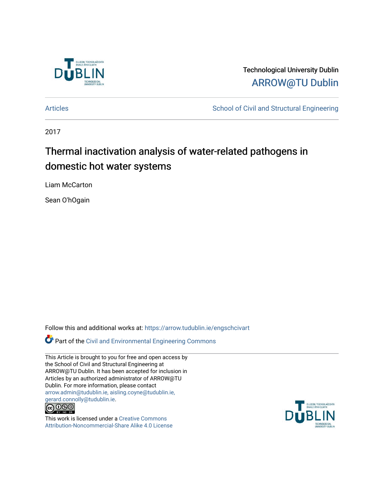

Technological University Dublin [ARROW@TU Dublin](https://arrow.tudublin.ie/) 

[Articles](https://arrow.tudublin.ie/engschcivart) **School of Civil and Structural Engineering** School of Civil and Structural Engineering

2017

## Thermal inactivation analysis of water-related pathogens in domestic hot water systems

Liam McCarton

Sean O'hOgain

Follow this and additional works at: [https://arrow.tudublin.ie/engschcivart](https://arrow.tudublin.ie/engschcivart?utm_source=arrow.tudublin.ie%2Fengschcivart%2F126&utm_medium=PDF&utm_campaign=PDFCoverPages)

Part of the [Civil and Environmental Engineering Commons](http://network.bepress.com/hgg/discipline/251?utm_source=arrow.tudublin.ie%2Fengschcivart%2F126&utm_medium=PDF&utm_campaign=PDFCoverPages)

This Article is brought to you for free and open access by the School of Civil and Structural Engineering at ARROW@TU Dublin. It has been accepted for inclusion in Articles by an authorized administrator of ARROW@TU Dublin. For more information, please contact [arrow.admin@tudublin.ie, aisling.coyne@tudublin.ie,](mailto:arrow.admin@tudublin.ie,%20aisling.coyne@tudublin.ie,%20gerard.connolly@tudublin.ie)  [gerard.connolly@tudublin.ie](mailto:arrow.admin@tudublin.ie,%20aisling.coyne@tudublin.ie,%20gerard.connolly@tudublin.ie).



This work is licensed under a [Creative Commons](http://creativecommons.org/licenses/by-nc-sa/4.0/) [Attribution-Noncommercial-Share Alike 4.0 License](http://creativecommons.org/licenses/by-nc-sa/4.0/)

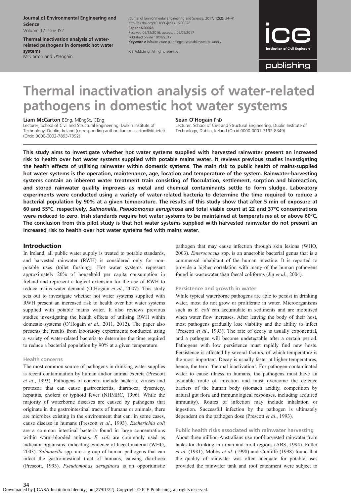Journal of Environmental Engineering and Science Volume 12 Issue JS2

Thermal inactivation analysis of waterrelated pathogens in domestic hot water systems McCarton and O'Hogain

Journal of Environmental Engineering and Science, 2017, 12(2), 34–41 http://dx.doi.org/10.1680/jenes.16.00028 Paper 16.00028 Received 09/12/2016; accepted 02/05/2017 Published online 19/06/2017 Keywords: infrastructure planning/sustainability/water supply

ICE Publishing: All rights reserved



publishing

# Thermal inactivation analysis of water-related pathogens in domestic hot water systems

Liam McCarton BEng, MEngSc, CEng

Lecturer, School of Civil and Structural Engineering, Dublin Institute of Technology, Dublin, Ireland (corresponding author: [liam.mccarton@dit.ietel\)](mailto:liam.mccarton@dit.ietel) (Orcid:0000-0002-7893-7392)

#### Sean O'Hogain PhD

Lecturer, School of Civil and Structural Engineering, Dublin Institute of Technology, Dublin, Ireland (Orcid:0000-0001-7192-8349)

This study aims to investigate whether hot water systems supplied with harvested rainwater present an increased risk to health over hot water systems supplied with potable mains water. It reviews previous studies investigating the health effects of utilising rainwater within domestic systems. The main risk to public health of mains-supplied hot water systems is the operation, maintenance, age, location and temperature of the system. Rainwater-harvesting systems contain an inherent water treatment train consisting of flocculation, settlement, sorption and bioreaction, and stored rainwater quality improves as metal and chemical contaminants settle to form sludge. Laboratory experiments were conducted using a variety of water-related bacteria to determine the time required to reduce a bacterial population by 90% at a given temperature. The results of this study show that after 5 min of exposure at 60 and 55°C, respectively, Salmonella, Pseudomonas aeruginosa and total viable count at 22 and 37°C concentrations were reduced to zero. Irish standards require hot water systems to be maintained at temperatures at or above 60°C. The conclusion from this pilot study is that hot water systems supplied with harvested rainwater do not present an increased risk to health over hot water systems fed with mains water.

#### Introduction

In Ireland, all public water supply is treated to potable standards, and harvested rainwater (RWH) is considered only for nonpotable uses (toilet flushing). Hot water systems represent approximately 20% of household per capita consumption in Ireland and represent a logical extension for the use of RWH to reduce mains water demand (O'[Hogain](#page-7-0) et al., 2007). This study sets out to investigate whether hot water systems supplied with RWH present an increased risk to health over hot water systems supplied with potable mains water. It also reviews previous studies investigating the health effects of utilising RWH within domestic systems (O'[Hogain](#page-7-0) et al., 2011, [2012\)](#page-7-0). The paper also presents the results from laboratory experiments conducted using a variety of water-related bacteria to determine the time required to reduce a bacterial population by 90% at a given temperature.

#### Health concerns

The most common source of pathogens in drinking water supplies is recent contamination by human and/or animal excreta [\(Prescott](#page-7-0) et al[., 1993\)](#page-7-0). Pathogens of concern include bacteria, viruses and protozoa that can cause gastroenteritis, diarrhoea, dysentery, hepatitis, cholera or typhoid fever ([NHMRC, 1996](#page-7-0)). While the majority of waterborne diseases are caused by pathogens that originate in the gastrointestinal tracts of humans or animals, there are microbes existing in the environment that can, in some cases, cause disease in humans ([Prescott](#page-7-0) et al., 1993). Escherichia coli are a common intestinal bacteria found in large concentrations within warm-blooded animals. E. coli are commonly used as indicator organisms, indicating evidence of faecal material [\(WHO,](#page-8-0) [2003](#page-8-0)). Salmonella spp. are a group of human pathogens that can infect the gastrointestinal tract of humans, causing diarrhoea [\(Prescott, 1993\)](#page-7-0). Pseudomonas aeruginosa is an opportunistic pathogen that may cause infection through skin lesions ([WHO,](#page-8-0) [2003\)](#page-8-0). Enterococcus spp. is an anaerobic bacterial genus that is a commensal inhabitant of the human intestine. It is reported to provide a higher correlation with many of the human pathogens found in wastewater than faecal coliforms (Jin et al[., 2004\)](#page-7-0).

#### Persistence and growth in water

While typical waterborne pathogens are able to persist in drinking water, most do not grow or proliferate in water. Microorganisms such as E. coli can accumulate in sediments and are mobilised when water flow increases. After leaving the body of their host, most pathogens gradually lose viability and the ability to infect ([Prescott](#page-7-0) et al., 1993). The rate of decay is usually exponential, and a pathogen will become undetectable after a certain period. Pathogens with low persistence must rapidly find new hosts. Persistence is affected by several factors, of which temperature is the most important. Decay is usually faster at higher temperatures, hence, the term 'thermal inactivation'. For pathogen-contaminated water to cause illness in humans, the pathogens must have an available route of infection and must overcome the defence barriers of the human body (stomach acidity, competition by natural gut flora and immunological responses, including acquired immunity). Routes of infection may include inhalation or ingestion. Successful infection by the pathogen is ultimately dependent on the pathogen dose ([Prescott](#page-7-0) et al., 1993).

#### Public health risks associated with rainwater harvesting

About three million Australians use roof-harvested rainwater from tanks for drinking in urban and rural regions [\(ABS, 1994](#page-6-0)). [Fuller](#page-7-0) et al[. \(1981\),](#page-7-0) Mobbs et al[. \(1998\)](#page-7-0) and [Cunliffe \(1998\)](#page-7-0) found that the quality of rainwater was often adequate for potable uses provided the rainwater tank and roof catchment were subject to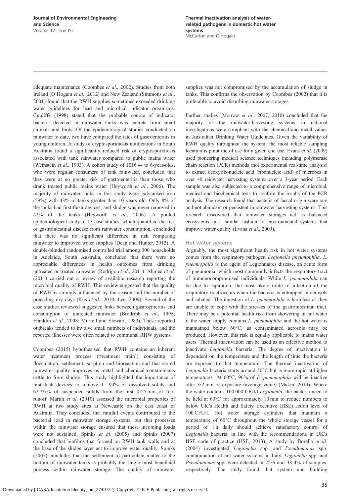adequate maintenance ([Coombes](#page-7-0) et al., 2002). Studies from both Ireland (O'[Hogain](#page-7-0) et al., 2012) and New Zealand [\(Simmons](#page-7-0) et al., [2001](#page-7-0)) found that the RWH supplies sometimes exceeded drinking water guidelines for lead and microbial indicator organisms. [Cunliffe \(1998\)](#page-7-0) stated that the probable source of indicator bacteria detected in rainwater tanks was excreta from small animals and birds. Of the epidemiological studies conducted on rainwater to date, two have compared the rates of gastroenteritis in young children. A study of cryptosporidiosis notifications in South Australia found a significantly reduced risk of cryptosporidiosis associated with tank rainwater compared to public mains water [\(Weinstein](#page-8-0) et al., 1993). A cohort study of 1016 4- to 6-year-olds, who were regular consumers of tank rainwater, concluded that they were at no greater risk of gastroenteritis than those who drank treated public mains water ([Heyworth](#page-7-0) et al., 2006). The majority of rainwater tanks in this study were galvanised iron (59%) with 43% of tanks greater than 10 years old. Only 8% of the tanks had first-flush devices, and sludge was never removed in 42% of the tanks [\(Heyworth](#page-7-0) et al., 2006). A pooled epidemiological study of 13 case studies, which quantified the risk of gastrointestinal disease from rainwater consumption, concluded that there was no significant difference in risk comparing rainwater to improved water supplies [\(Dean and Hunter, 2012](#page-7-0)). A double-blinded randomised controlled trial among 300 households in Adelaide, South Australia, concluded that there were no appreciable differences in health outcomes from drinking untreated or treated rainwater [\(Rodrigo](#page-7-0) et al., 2011). [Ahmed](#page-6-0) et al. [\(2011\)](#page-6-0) carried out a review of available research reporting the microbial quality of RWH. This review suggested that the quality of RWH is strongly influenced by the season and the number of preceding dry days (Kus et al[., 2010; Lye, 2009\)](#page-7-0). Several of the case studies reviewed suggested links between gastroenteritis and consumption of untreated rainwater [\(Brodribb](#page-7-0) et al., 1995; Franklin et al., 2008; [Murrell and Stewart, 1983\)](#page-7-0). These reported outbreaks tended to involve small numbers of individuals, and the reported illnesses were often related to communal RHW systems.

[Coombes \(2015\)](#page-7-0) hypothesised that RWH contains an inherent water treatment process ('treatment train') consisting of flocculation, settlement, sorption and bioreaction and that stored rainwater quality improves as metal and chemical contaminants settle to form sludge. This study highlighted the importance of first-flush devices to remove 11–94% of dissolved solids and 62–97% of suspended solids from the first 0·25 mm of roof runoff. Martin et al[. \(2010\)](#page-7-0) assessed the microbial properties of RWH at two study sites at Newcastle on the east coast of Australia. They concluded that rainfall events contributed to the bacterial load in rainwater storage systems, but that processes within the rainwater storage ensured that these incoming loads were not sustained. Spinks et al[. \(2005\)](#page-7-0) and [Spinks \(2007\)](#page-7-0) concluded that biofilms that formed on RWH tank walls and at the base of the sludge layer act to improve water quality. [Spinks](#page-7-0) [\(2007\)](#page-7-0) concludes that the settlement of particulate matter to the bottom of rainwater tanks is probably the single most beneficial process within rainwater storage. The quality of rainwater

supplies was not compromised by the accumulation of sludge in tanks. This confirms the observation by [Coombes \(2002\)](#page-7-0) that it is preferable to avoid disturbing rainwater storages.

Further studies ([Morrow](#page-7-0) et al., 2007, [2010\)](#page-7-0) concluded that the majority of the rainwater-harvesting systems in national investigations were compliant with the chemical and metal values in Australian Drinking Water Guidelines. Given the variability of RWH quality throughout the system, the most reliable sampling location is point the of use for a given end use. Evans et al[. \(2009\)](#page-7-0) used pioneering medical science techniques including polymerase chain reaction (PCR) methods (not experimental real-time analysis) to extract deoxyribonucleic acid (ribonucleic acid) of microbes in over 40 rainwater harvesting systems over a 3-year period. Each sample was also subjected to a comprehensive range of microbial, medical and biochemical tests to confirm the results of the PCR analysis. The research found that bacteria of faecal origin were rare and not abundant or persistent in rainwater harvesting systems. This research discovered that rainwater storages act as balanced ecosystems in a similar fashion to environmental systems that improve water quality (Evans et al[., 2009\)](#page-7-0).

#### Hot water systems

Arguably, the most significant health risk in hot water systems comes from the respiratory pathogen Legionella pneumophila. L. pneumophila is the agent of Legionnaires disease, an acute form of pneumonia, which most commonly infects the respiratory tract of immunocompromised individuals. While L. pneumophila can be due to aspiration, the most likely route of infection of the respiratory tract occurs when the bacteria is entrapped in aerosols and inhaled. The ingestion of L. pneumophila is harmless as they are unable to cope with the stresses of the gastrointestinal tract. There may be a potential health risk from showering in hot water if the water supply contains L. pneumophila and the hot water is maintained below 60°C, as contaminated aerosols may be produced. However, this risk is equally applicable to mains water users. Thermal inactivation can be used as an effective method to inactivate Legionella bacteria. The degree of inactivation is dependent on the temperature and the length of time the bacteria are exposed to that temperature. The thermal inactivation of Legionella bacteria starts around 50°C but is more rapid at higher temperatures. At  $60^{\circ}$ C,  $90\%$  of *L. pneumophila* will be inactive after 3·2 min of exposure (average value) ([Makin, 2014](#page-7-0)). Where the water contains 100 000 CFU/l Legionella, the bacteria need to be held at 60°C for approximately 10 min to reduce numbers to below UK's Health and Safety Executive (HSE) action level of 100 CFU/l. Hot water storage cylinders that maintain a temperature of 60°C throughout the whole storage vessel for a period of 1 h daily should achieve satisfactory control of Legionella bacteria, in line with the recommendations in UK's HSE code of practice [\(HSE, 2013\)](#page-7-0). A study by [Borella](#page-6-0) et al. [\(2004\)](#page-6-0) investigated Legionella spp. and Pseudomonas spp. contamination of hot water systems in Italy. Legionella spp. and Pseudomonas spp. were detected in 22·6 and 38·4% of samples, respectively. The study found that system and building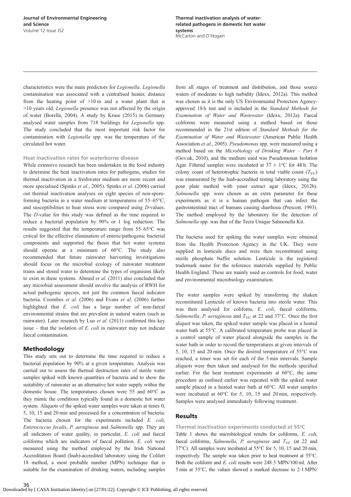characteristics were the main predictors for Legionella. Legionella contamination was associated with a centralised heater, distance from the heating point of  $>10 \text{ m}$  and a water plant that is >10 years old. Legionella presence was not affected by the origin of water [\(Borella, 2004\)](#page-6-0). A study by [Kruse \(2015\)](#page-7-0) in Germany analysed water samples from 718 buildings for Legionella spp. The study concluded that the most important risk factor for contamination with Legionella spp. was the temperature of the circulated hot water.

#### Heat inactivation rates for waterborne disease

While extensive research has been undertaken in the food industry to determine the heat inactivation rates for pathogens, studies for thermal inactivation in a freshwater medium are more recent and more specialised (Spinks et al[., 2005](#page-7-0)). Spinks et al[. \(2006\)](#page-8-0) carried out thermal inactivation analyses on eight species of non-sporeforming bacteria in a water medium at temperatures of 55–65°C, and susceptibilities to heat stress were compared using D-values. The D-value for this study was defined as the time required to reduce a bacterial population by 90% or 1 log reduction. The results suggested that the temperature range from 55–65°C was critical for the effective elimination of enteric/pathogenic bacterial components and supported the thesis that hot water systems should operate at a minimum of 60°C. The study also recommended that future rainwater harvesting investigations should focus on the microbial ecology of rainwater treatment trains and stored water to determine the types of organisms likely to exist in these systems. Ahmed et al[. \(2011\)](#page-6-0) also concluded that any microbial assessment should involve the analysis of RWH for actual pathogenic species, not just the common faecal indicator bacteria. [Coombes](#page-7-0) et al. (2006) and Evans et al[. \(2006\)](#page-7-0) further highlighted that E. coli has a large number of non-faecal environmental strains that are prevalent in natural waters (such as rainwater). Later research by Luo et al[. \(2011\)](#page-7-0) confirmed this key issue – that the isolation of  $E$ . *coli* in rainwater may not indicate faecal contamination.

#### Methodology

This study sets out to determine the time required to reduce a bacterial population by 90% at a given temperature. Analysis was carried out to assess the thermal destruction rates of sterile water samples spiked with known quantities of bacteria and to show the suitability of rainwater as an alternative hot water supply within the domestic house. The temperatures chosen were 55 and 60°C as they mimic the conditions typically found in a domestic hot water system. Aliquots of the spiked water samples were taken at times 0, 5, 10, 15 and 20 min and processed for a concentration of bacteria. The bacteria chosen for the experiments included E. coli, Enterococcus fecalis, P. aeruginosa and Salmonella spp. They are all indicators of water quality, in particular, E. coli and faecal coliforms which are indicators of faecal pollution. E. coli were measured using the method employed by the Irish National Accreditation Board (Inab)-accredited laboratory using the Colilert 18 method, a most probable number (MPN) technique that is suitable for the examination of drinking waters, including samples from all stages of treatment and distribution, and those source waters of moderate to high turbidity [\(Idexx, 2012a](#page-7-0)). This method was chosen as it is the only US Environmental Protection Agencyapproved 18 h test and is included in the Standard Methods for Examination of Water and Wastewater ([Idexx, 2012a\)](#page-7-0). Faecal coliforms were measured using a method based on those recommended in the 21st edition of Standard Methods for the Examination of Water and Wastewater ([American Public Health](#page-6-0) [Association](#page-6-0) et al., 2005). Pseudomonas spp. were measured using a method based on the Microbiology of Drinking Water – Part 8 ([Gov.uk, 2010\)](#page-7-0), and the medium used was Pseudomonas Isolation Agar. Filtered samples were incubated at  $37 \pm 1$ °C for 48 h. The colony count of heterotrophic bacteria or total viable count  $(T_{VC})$ was enumerated by the Inab-accredited testing laboratory using the pour plate method with yeast extract agar [\(Idexx, 2012b](#page-7-0)). Salmonella spp. were chosen as an extra parameter for these experiments as it is a human pathogen that can infect the gastrointestinal tract of humans causing diarrhoea ([Prescott, 1993](#page-7-0)). The method employed by the laboratory for the detection of Salmonella spp. was that of the Tecra Unique Salmonella Kit.

The bacteria used for spiking the water samples were obtained from the Health Protection Agency in the UK. They were supplied in lenticule discs and were then reconstituted using sterile phosphate buffer solution. Lenticule is the registered trademark name for the reference materials supplied by Public Health England. These are mainly used as controls for food, water and environmental microbiology examination.

The water samples were spiked by transferring the shaken reconstituted Lenticule of known bacteria into sterile water. This was then analysed for colifoms, E. coli, faecal coliforms, Salmonella, P. aeruginosa and  $T_{\rm VC}$  at 22 and 37°C. Once the first aliquot was taken, the spiked water sample was placed in a heated water bath at 55°C. A calibrated temperature probe was placed in a control sample of water placed alongside the samples in the water bath in order to record the temperatures at given intervals of 5, 10, 15 and 20 min. Once the desired temperature of 55°C was reached, a timer was set for each of the 5 min intervals. Sample aliquots were then taken and analysed for the methods specified earlier. For the heat treatment experiments at 60°C, the same procedure as outlined earlier was repeated with the spiked water sample placed in a heated water bath at 60°C. All water samples were incubated at 60°C for 5, 10, 15 and 20 min, respectively. Samples were analysed immediately following treatment.

#### **Results**

#### Thermal inactivation experiments conducted at 55°C

[Table 1](#page-4-0) shows the microbiological results for coliforms, E. coli, faecal coliforms, Salmonella, P. aeruginosa and  $T_{\text{VC}}$  (at 22 and 37°C). All samples were incubated at 55°C for 5, 10, 15 and 20 min, respectively. The sample was taken prior to heat treatment at 55°C. Both the coliform and E. coli results were 248·3 MPN/100 ml. After 5 min at 55°C, the values showed a marked decrease to 2·1 MPN/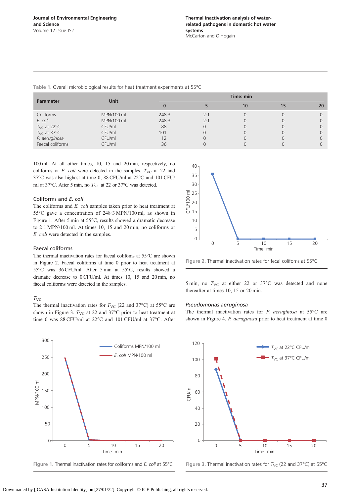<span id="page-4-0"></span>Table 1. Overall microbiological results for heat treatment experiments at 55°C

| <b>Parameter</b>                  | Unit       | Time: min |     |    |  |    |  |
|-----------------------------------|------------|-----------|-----|----|--|----|--|
|                                   |            |           |     | 10 |  | 20 |  |
| Coliforms                         | MPN/100 ml | 248.3     | 2.1 |    |  |    |  |
| E. coli                           | MPN/100 ml | 248.3     | 2.1 |    |  |    |  |
| $T_{\text{VC}}$ at 22 $\text{°C}$ | CFU/ml     | 88        |     |    |  |    |  |
| $T_{\text{VC}}$ at 37°C           | CFU/ml     | 101       |     |    |  |    |  |
| P. aeruginosa                     | CFU/ml     |           |     |    |  |    |  |
| Faecal coliforms                  | CFU/ml     | 36        |     |    |  |    |  |

40

100 ml. At all other times, 10, 15 and 20 min, respectively, no coliforms or  $E.$  coli were detected in the samples.  $T_{\text{VC}}$  at 22 and 37°C was also highest at time 0, 88 CFU/ml at 22°C and 101 CFU/ ml at 37 $^{\circ}$ C. After 5 min, no  $T_{\rm VC}$  at 22 or 37 $^{\circ}$ C was detected.

#### Coliforms and E. coli

The coliforms and E. coli samples taken prior to heat treatment at 55°C gave a concentration of 248·3 MPN/100 ml, as shown in Figure 1. After 5 min at 55°C, results showed a dramatic decrease to 2·1 MPN/100 ml. At times 10, 15 and 20 min, no coliforms or E. coli were detected in the samples.

#### Faecal coliforms

The thermal inactivation rates for faecal colifoms at 55°C are shown in Figure 2. Faecal coliforms at time 0 prior to heat treatment at 55°C was 36 CFU/ml. After 5 min at 55°C, results showed a dramatic decrease to 0 CFU/ml. At times 10, 15 and 20 min, no faecal coliforms were detected in the samples.

The thermal inactivation rates for  $T_{\text{VC}}$  (22 and 37°C) at 55°C are shown in Figure 3.  $T_{\text{VC}}$  at 22 and 37°C prior to heat treatment at time 0 was 88 CFU/ml at 22°C and 101 CFU/ml at 37°C. After

#### $T_{\text{VC}}$

35 30  $\overline{\epsilon}$ 25 CFU/100 ml 20 15 10 5 0 0 5 10 15 20 Time: min

Figure 2. Thermal inactivation rates for fecal colifoms at 55°C

5 min, no  $T_{\text{VC}}$  at either 22 or 37°C was detected and none thereafter at times 10, 15 or 20 min.

#### Pseudomonas aeruginosa

The thermal inactivation rates for  $P$ . aeruginosa at 55 $\degree$ C are shown in [Figure 4.](#page-5-0) P. aeruginosa prior to heat treatment at time 0



Figure 1. Thermal inactivation rates for coliforms and E. coli at 55°C



Figure 3. Thermal inactivation rates for  $T_{\text{VC}}$  (22 and 37°C) at 55°C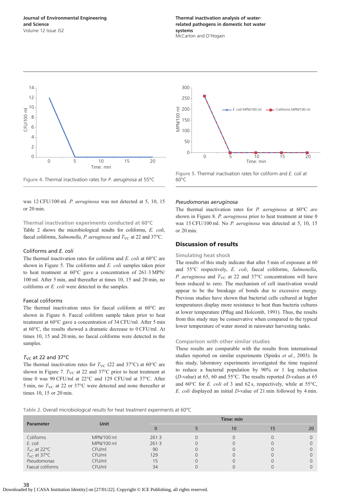<span id="page-5-0"></span>



was 12 CFU/100 ml. P. aeruginosa was not detected at 5, 10, 15 or 20 min.

#### Thermal inactivation experiments conducted at 60°C

Table 2 shows the microbiological results for coliforms, E. coli, faecal coliforms, Salmonella, P. aeruginosa and  $T_{\text{VC}}$  at 22 and 37°C.

#### Coliforms and E. coli

The thermal inactivation rates for coliform and  $E$ . *coli* at  $60^{\circ}$ C are shown in Figure 5. The coliforms and E. coli samples taken prior to heat treatment at 60°C gave a concentration of 261·3 MPN/ 100 ml. After 5 min, and thereafter at times 10, 15 and 20 min, no coliforms or E. coli were detected in the samples.

#### Faecal coliforms

The thermal inactivation rates for faecal coliform at 60°C are shown in [Figure 6](#page-6-0). Faecal coliform sample taken prior to heat treatment at 60°C gave a concentration of 34 CFU/ml. After 5 min at 60°C, the results showed a dramatic decrease to 0 CFU/ml. At times 10, 15 and 20 min, no faecal coliforms were detected in the samples.

#### $T_{\text{VC}}$  at 22 and 37°C

The thermal inactivation rates for  $T_{\text{VC}}$  (22 and 37°C) at 60°C are shown in [Figure 7.](#page-6-0)  $T_{\text{VC}}$  at 22 and 37 $\textdegree$ C prior to heat treatment at time 0 was 90 CFU/ml at 22°C and 129 CFU/ml at 37°C. After 5 min, no  $T_{\text{VC}}$  at 22 or 37 $\textdegree$ C were detected and none thereafter at times 10, 15 or 20 min.



Figure 5. Thermal inactivation rates for coliform and E. coli at 60°C

#### Pseudomonas aeruginosa

The thermal inactivation rates for P. aeruginosa at 60°C are shown in [Figure 8.](#page-6-0) P. aeruginosa prior to heat treatment at time 0 was 15 CFU/100 ml. No P. aeruginosa was detected at 5, 10, 15 or 20 min.

#### Discussion of results

#### Simulating heat shock

The results of this study indicate that after 5 min of exposure at 60 and 55°C respectively, E. coli, faecal coliforms, Salmonella, P. aeruginosa and  $T_{\text{VC}}$  at 22 and 37°C concentrations will have been reduced to zero. The mechanism of cell inactivation would appear to be the breakage of bonds due to excessive energy. Previous studies have shown that bacterial cells cultured at higher temperatures display more resistance to heat than bacteria cultures at lower temperature (Pfl[ug and Holcomb, 1991](#page-7-0)). Thus, the results from this study may be conservative when compared to the typical lower temperature of water stored in rainwater harvesting tanks.

#### Comparison with other similar studies

These results are comparable with the results from international studies reported on similar experiments (Spinks et al., 2003). In this study, laboratory experiments investigated the time required to reduce a bacterial population by 90% or 1 log reduction (D-value) at 65, 60 and 55°C. The results reported D-values at 65 and  $60^{\circ}$ C for *E. coli* of 3 and 62 s, respectively, while at 55 $^{\circ}$ C, E. coli displayed an initial D-value of 21 min followed by 4 min.

Table 2. Overall microbiological results for heat treatment experiments at 60°C

| <b>Parameter</b>        | <b>Unit</b> | Time: min |   |    |    |    |  |
|-------------------------|-------------|-----------|---|----|----|----|--|
|                         |             |           |   | 10 | 15 | 20 |  |
| Coliforms               | MPN/100 ml  | 261.3     | 0 |    |    |    |  |
| E. coli                 | MPN/100 ml  | 261.3     |   |    |    |    |  |
| $T_{\text{VC}}$ at 22°C | CFU/ml      | 90        |   |    |    |    |  |
| $T_{\text{VC}}$ at 37°C | CFU/ml      | 129       | 0 |    |    |    |  |
| Pseudomonas             | CFU/ml      | 15        | 0 |    |    |    |  |
| Faecal coliforms        | CFU/ml      | 34        |   |    |    |    |  |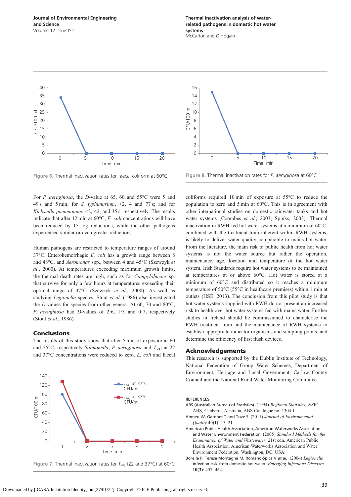#### <span id="page-6-0"></span>Journal of Environmental Engineering and Science Volume 12 Issue JS2

Thermal inactivation analysis of waterrelated pathogens in domestic hot water systems McCarton and O'Hogain



Figure 6. Thermal inactivation rates for faecal coliform at 60°C

For P. aeruginosa, the D-value at 65, 60 and 55°C were 5 and 49 s and 5 min; for S. typhimurium, <2, 4 and 77 s; and for Klebsiella pneumoniae,  $\leq 2, \leq 2$ , and 35 s, respectively. The results indicate that after 12 min at 60°C, E. coli concentrations will have been reduced by 15 log reductions, while the other pathogens experienced similar or even greater reductions.

Human pathogens are restricted to temperature ranges of around 37°C. Enterohemorrhagic E. coli has a growth range between 8 and 48°C, and Aeromonas spp., between 4 and 45°C [\(Szewzyk](#page-8-0) et al[., 2000](#page-8-0)). At temperatures exceeding maximum growth limits, the thermal death rates are high, such as for Campylobacter sp. that survive for only a few hours at temperatures exceeding their optimal range of 37°C ([Szewzyk](#page-7-0) et al., 2000). As well as studying Legionella species, Stout et al[. \(1986\)](#page-8-0) also investigated the D-values for species from other genera. At 60, 70 and 80°C, P. aeruginosa had D-values of  $2.6$ ,  $1.3$  and  $0.7$ , respectively (Stout et al[., 1986\)](#page-8-0).

#### **Conclusions**

The results of this study show that after 5 min of exposure at 60 and 55°C, respectively Salmonella, P. aeruginosa and  $T_{\text{VC}}$  at 22 and 37°C concentrations were reduced to zero. E. coli and faecal





Figure 8. Thermal inactivation rates for P. aeruginosa at 60°C

coliforms required 10 min of exposure at 55°C to reduce the population to zero and 5 min at 60°C. This is in agreement with other international studies on domestic rainwater tanks and hot water systems [\(Coombes](#page-7-0) et al., 2003; Spinks, 2003). Thermal inactivation in RWH-fed hot water systems at a minimum of 60°C, combined with the treatment train inherent within RWH systems, is likely to deliver water quality comparable to mains hot water. From the literature, the main risk to public health from hot water systems is not the water source but rather the operation, maintenance, age, location and temperature of the hot water system. Irish Standards require hot water systems to be maintained at temperatures at or above 60°C. Hot water is stored at a minimum of 60°C and distributed so it reaches a minimum temperature of 50°C (55°C in healthcare premises) within 1 min at outlets [\(HSE, 2013\)](#page-7-0). The conclusion from this pilot study is that hot water systems supplied with RWH do not present an increased risk to health over hot water systems fed with mains water. Further studies in Ireland should be commissioned to characterise the RWH treatment train and the maintenance of RWH systems to establish appropriate indicator organisms and sampling points, and determine the efficiency of first flush devices.

#### Acknowledgements

This research is supported by the Dublin Institute of Technology, National Federation of Group Water Schemes, Department of Environment, Heritage and Local Government, Carlow County Council and the National Rural Water Monitoring Committee.

#### **REFERENCES**

- ABS (Australian Bureau of Statistics) (1994) Regional Statistics, NSW. ABS, Canberra, Australia, ABS Catalogue no. 1304.1.
- Ahmed W, Gardner T and Toze S (2011) Journal of Environmental Quality 40(1): 13–21.
- American Public Health Association, American Waterworks Association and Water Environment Federation (2005) Standard Methods for the Examination of Water and Wastewater, 21st edn. American Public Health Association, American Waterworks Association and Water Environment Federation, Washington, DC, USA.
- Borella P, Teresa Montagna M, Romano-Spica V et al. (2004) Legionella infection risk from domestic hot water. Emerging Infectious Diseases 10(3): 457–464.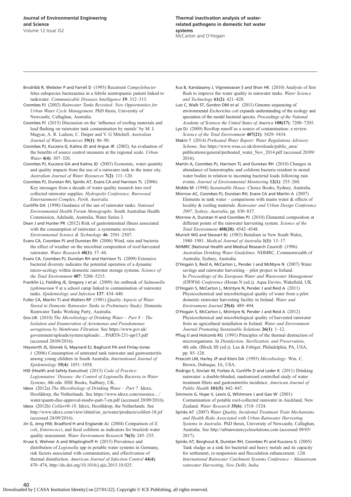- <span id="page-7-0"></span>Brodribb R, Webster P and Farrell D (1995) Recurrent Campylobacter fetus subspecies bacteraemia in a febrile neutropaenic patient linked to tankwater. Communicable Diseases Intelligence 19: 312–313.
- Coombes PJ (2002) Rainwater Tanks Revisited: New Opportunities for Urban Water Cycle Management. PhD thesis, University of Newcastle, Callaghan, Australia.
- Coombes PJ (2015) Discussion on the 'influence of roofing materials and lead flashing on rainwater tank contamination by metals' by M. I. Magyar, A. R. Ladson, C. Daiper and V. G Mitchell. Australian Journal of Water Resources 19(1): 86–90.
- Coombes PJ, Kuczera G, Kalma JD and Argue JR (2002) An evaluation of the benefits of source control measures at the regional scale. Urban Water 4(4): 307–320.
- Coombes PJ, Kuczera GA and Kalma JD (2003) Economic, water quantity and quality impacts from the use of a rainwater tank in the inner city. Australian Journal of Water Resources 7(2): 111–120.
- Coombes PJ, Dunstan RH, Spinks AT, Evans CA and Harrison TL (2006) Key messages from a decade of water quality research into roof collected rainwater supplies. Hydropolis Conference, Burswood Entertainment Complex, Perth, Australia.
- Cunliffe DA (1998) Guidance of the use of rainwater tanks. National Environmental Health Forum Monographs. South Australian Health Commission, Adelaide, Australia, Water Series 3.
- Dean J and Hunter PR (2012) Risk of gastrointestinal illness associated with the consumption of rainwater: a systematic review. Environmental Science & Technology 46: 2501–2507.
- Evans CA, Coombes PJ and Dunstan RH (2006) Wind, rain and bacteria: the effect of weather on the microbial composition of roof-harvested rainwater. Water Research 40(1): 37–44.
- Evans CA, Coombes PJ, Dunstan RH and Harrison TL (2009) Extensive bacterial diversity indicates the potential operation of a dynamic micro-ecology within domestic rainwater storage systems. Science of the Total Environment 407: 5206-5215.
- Franklin LJ, Fielding JE, Gregory J et al. (2009) An outbreak of Salmonella typhimurium 9 at a school camp linked to contamination of rainwater tanks. Epidemiology and Infection 137: 434-440.
- Fuller CA, Martin TJ and Walters RP (1981) Quality Aspects of Water Stored in Domestic Rainwater Tanks (a Preliminary Study). Domestic Rainwater Tanks Working Party, Australia.
- Gov.UK (2010) The Microbiology of Drinking Water Part  $8$  The Isolation and Enumeration of Aeromonas and Pseudomonas aeruginosa by Membrane Filtration. See [https://www.gov.uk/](https://www.gov.uk/government/uploads/system/uploads/.../PART8-231-apr15.pdf) [government/uploads/system/uploads/](https://www.gov.uk/government/uploads/system/uploads/.../PART8-231-apr15.pdf)…/PART8-231-apr15.pdf (accessed 20/09/2016).
- Heyworth JS, Glonek G, Maynard EJ, Baghurst PA and Finlay-Jones J (2006) Consumption of untreated tank rainwater and gastroenteritis among young children in South Australia. International Journal of Epidemiology 35(4): 1051–1058.
- HSE (Health and Safety Executive) (2013) Code of Practice: Legionnaires' Disease: the Control of Legionella Bacteria in Water Systems, 4th edn. HSE Books, Sudbury, UK.
- Idexx (2012a) The Microbiology of Drinking Water Part 7. Idexx, Hoofddorp, the Netherlands. See [https://www.idexx.com/resource](https://www.idexx.com/resource.../water/quanti-disc-approval-modw-part-7-en.pdf)…/ [water/quanti-disc-approval-modw-part-7-en.pdf](https://www.idexx.com/resource.../water/quanti-disc-approval-modw-part-7-en.pdf) (accessed 20/09/2016).
- Idexx (2012b) Colilert®-18. Idexx, Hoofddorp, the Netherlands. See [http://www.idexx.com/view/xhtml/en\\_us/water/products/colilert-18.jsf](http://www.idexx.com/view/xhtml/en_us/water/products/colilert-18.jsf) (accessed 24/09/2016).
- Jin G, Jeng HW, Bradford H and Englande AJ  $(2004)$  Comparison of E. coli, Enterococci, and fecal coliform as indicators for brackish water quality assessment. Water Environment Research 76(3): 245-255.
- Kruse E, Wehner A and Wisplinghoff H (2015) Prevalence and distribution of Legionella spp in potable water systems in Germany, risk factors associated with contamination, and effectiveness of thermal disinfection. American Journal of Infection Control 44(4): 470–474, [http://dx.doi.org/10.1016/j.ajic.2015.10.025.](http://dx.doi.org/10.1016/j.ajic.2015.10.025)
- Kus B, Kandasamy J, Vigneswaran S and Shon HK (2010) Analysis of first flush to improve the water quality in rainwater tanks. Water Science and Technology 61(2): 421–428.
- Luo C, Walk ST, Gordon DM et al. (2011) Genome sequencing of environmental Escherichia coli expands understanding of the ecology and speciation of the model bacterial species. Proceedings of the National Academy of Sciences the United States of America 108(17): 7200–7205.
- Lye DJ (2009) Rooftop runoff as a source of contamination: a review. Science of the Total Environment 407(21): 5429–5434.
- Makin T (2014) Preheated Water Report: Water Regulations Advisory Scheme. See [https://www.wras.co.uk/downloads/public\\_area/](https://www.wras.co.uk/downloads/public_area/publications/general/preheated_water_Nov_2014.pdf) [publications/general/preheated\\_water\\_Nov\\_2014.pdf](https://www.wras.co.uk/downloads/public_area/publications/general/preheated_water_Nov_2014.pdf) (accessed 20/09/ 2016).
- Martin A, Coombes PJ, Harrison TL and Dunstan RH (2010) Changes in abundance of heterotrophic and coliform bacteria resident in stored water bodies in relation to incoming bacterial loads following rain events. Journal of Environmental Monitoring 12(1): 255–260.
- Mobbs M (1998) Sustainable House. Choice Books, Sydney, Australia.
- Morrow AC, Coombes PJ, Dunstan RH, Evans CA and Martin A (2007) Elements in tank water – comparisons with mains water  $\&$  effects of locality & roofing materials. Rainwater and Urban Design Conference 2007, Sydney, Australia, pp. 830–837.
- Morrow A, Dunstan H and Coombes PJ (2010) Elemental composition at different points of the rainwater harvesting system. Science of the Total Environment 408(20): 4542–4548.
- Murrell WG and Stewart BJ (1983) Botulism in New South Wales, 1980–1981. Medical Journal of Australia 1(1): 13–17.
- NHMRC (National Health and Medical Research Council) (1996) Australian Drinking Water Guidelines. NHMRC, Commonwealth of Australia, Sydney, Australia.
- O'Hogain S, Reid A, McCarton L, Pender J and McNtyre N (2007) Water savings and rainwater harvesting – pilot project in Ireland. In Proceedings of the European Water and Wastewater Management (EWWM) Conference (Horan N (ed.)). Aqua Enviro, Wakefield, UK.
- O'Hogain S, McCarton L, McIntyre N, Pender J and Reid A (2011) Physicochemical and microbiological quality of water from a pilot domestic rainwater harvesting facility in Ireland. Water and Environment Journal 25(4): 489–494.
- O'Hogain S, McCarton L, McIntyre N, Pender J and Reid A (2012) Physicochemical and microbiological quality of harvested rainwater from an agricultural installation in Ireland. Water and Environment Journal Promoting Sustainable Solutions 26(1): 1–12.
- Pflug IJ and Holcomb RG (1991) Principles of the thermal destruction of microorganisms. In Disinfection, Sterilization, and Preservation, 4th edn. (Block SS (ed.)). Lea & Febiger, Philadelphia, PA, USA, pp. 85–128.
- Prescott LM, Harley JP and Klein DA (1993) Microbiology. Wm. C. Brown, Dubuque, IA, USA.
- Rodrigo S, Sinclair M, Forbes A, Cunliffe D and Leder K (2011) Drinking rainwater: a double-blinded, randomized controlled study of water treatment filters and gastroenteritis incidence. American Journal of Public Health 101(5): 842–847.
- Simmons G, Hope V, Lewis G, Whitmore J and Gao W (2001) Contamination of potable roof-collected rainwater in Auckland, New Zealand. Water Research 35(6): 1518–1524.
- Spinks AT (2007) Water Quality, Incidental Treatment Train Mechanisms and Health Risks Associated with Urban Rainwater Harvesting Systems in Australia. PhD thesis, University of Newcastle, Callaghan, Australia. See [http://urbanwatercyclesolutions.com](http://urbanwatercyclesolutions.com/) (accessed 09/05/ 2017).
- Spinks AT, Berghout B, Dunstan RH, Coombes PJ and Kuczera G (2005) Tank sludge as a sink for bacterial and heavy metals and its capacity for settlement, re-suspension and flocculation enhancement. 12th International Rainwater Catchment Systems Conference – Mainstream rainwater Harvesting, New Delhi, India.